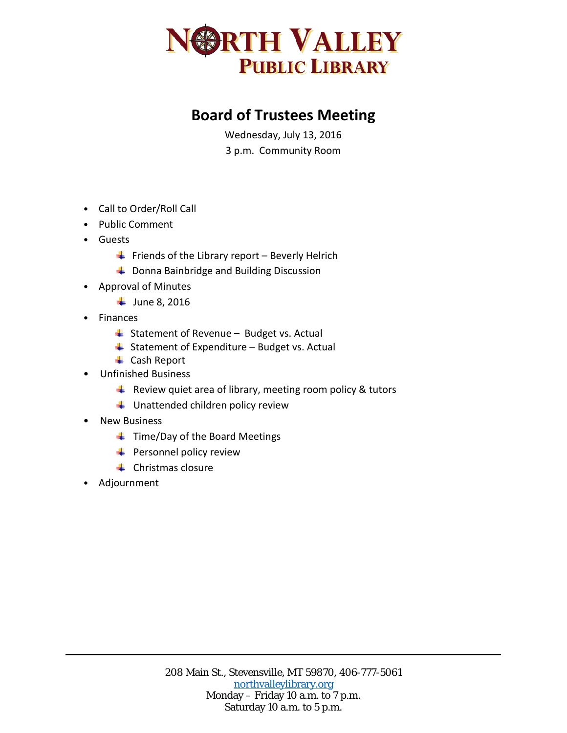

## **Board of Trustees Meeting**

Wednesday, July 13, 2016 3 p.m. Community Room

- Call to Order/Roll Call
- Public Comment
- Guests
	- $\bigstar$  Friends of the Library report Beverly Helrich
	- **↓** Donna Bainbridge and Building Discussion
- Approval of Minutes
	- $\frac{1}{2}$  June 8, 2016
- Finances
	- $\ddot{ }$  Statement of Revenue Budget vs. Actual
	- $\overline{\phantom{a}}$  Statement of Expenditure Budget vs. Actual
	- **↓** Cash Report
- Unfinished Business
	- $\triangleq$  Review quiet area of library, meeting room policy & tutors
	- $\ddot{\phantom{1}}$  Unattended children policy review
- New Business
	- $\ddot{\phantom{1}}$  Time/Day of the Board Meetings
	- $\leftarrow$  Personnel policy review
	- $\leftarrow$  Christmas closure
- Adjournment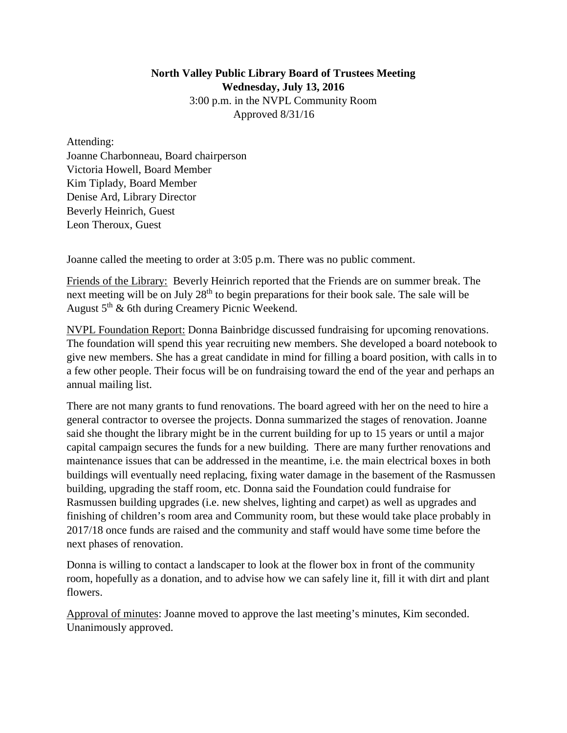## **North Valley Public Library Board of Trustees Meeting Wednesday, July 13, 2016** 3:00 p.m. in the NVPL Community Room Approved 8/31/16

Attending: Joanne Charbonneau, Board chairperson Victoria Howell, Board Member Kim Tiplady, Board Member Denise Ard, Library Director Beverly Heinrich, Guest Leon Theroux, Guest

Joanne called the meeting to order at 3:05 p.m. There was no public comment.

Friends of the Library: Beverly Heinrich reported that the Friends are on summer break. The next meeting will be on July 28<sup>th</sup> to begin preparations for their book sale. The sale will be August 5th & 6th during Creamery Picnic Weekend.

NVPL Foundation Report: Donna Bainbridge discussed fundraising for upcoming renovations. The foundation will spend this year recruiting new members. She developed a board notebook to give new members. She has a great candidate in mind for filling a board position, with calls in to a few other people. Their focus will be on fundraising toward the end of the year and perhaps an annual mailing list.

There are not many grants to fund renovations. The board agreed with her on the need to hire a general contractor to oversee the projects. Donna summarized the stages of renovation. Joanne said she thought the library might be in the current building for up to 15 years or until a major capital campaign secures the funds for a new building. There are many further renovations and maintenance issues that can be addressed in the meantime, i.e. the main electrical boxes in both buildings will eventually need replacing, fixing water damage in the basement of the Rasmussen building, upgrading the staff room, etc. Donna said the Foundation could fundraise for Rasmussen building upgrades (i.e. new shelves, lighting and carpet) as well as upgrades and finishing of children's room area and Community room, but these would take place probably in 2017/18 once funds are raised and the community and staff would have some time before the next phases of renovation.

Donna is willing to contact a landscaper to look at the flower box in front of the community room, hopefully as a donation, and to advise how we can safely line it, fill it with dirt and plant flowers.

Approval of minutes: Joanne moved to approve the last meeting's minutes, Kim seconded. Unanimously approved.